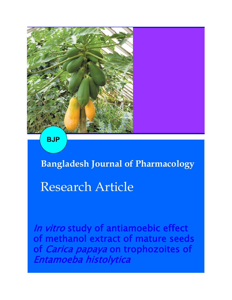

**BJP**

**Bangladesh Journal of Pharmacology** 

# Research Article

In vitro study of antiamoebic effect of methanol extract of mature seeds of *Carica papaya* on trophozoites of Entamoeba histolytica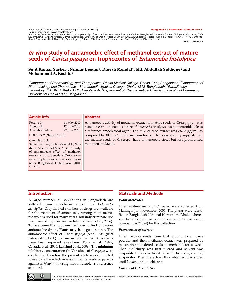A Journal of the Bangladesh Pharmacological Society (BDPS) **Bangladesh J Pharmacol 2010; 5: 45-47**

Journal homepage: www.banglajol.info Abstracted/indexed in Academic Search Complete, Agroforestry Abstracts, Asia Journals Online, Bangladesh Journals Online, Biological Abstracts, BIO-SIS Previews, CAB Abstracts, Current Abstracts, Directory of Open Access Journals, EMBASE/Excerpta Medica, Google Scholar, HINARI (WHO), Interna-<br>tional Pharmaceutical Abstracts, Open J-gate, Science Citation Index Expande

**ISSN**: 1991-0088

# In vitro study of antiamoebic effect of methanol extract of mature seeds of *Carica papaya* on trophozoites of *Entamoeba histolytica*

## **Sujit Kumar Sarker<sup>1</sup> , Nilufar Begum2, Dinesh Mondal3, Md. Abdullah Siddique3 and Mohammad A. Rashid<sup>4</sup>**

<sup>1</sup>*Department of Pharmacology and Therapeutics, Dhaka Medical College, Dhaka 1000, Bangladesh; <sup>2</sup>Department of Pharmacology and Therapeutics, Shahabuddin Medical College, Dhaka 1212, Bangladesh; <sup>3</sup>Parasitology Laboratory, ICDDR,B Dhaka 1212, Bangladesh; <sup>4</sup>Department of Pharmaceutical Chemistry, Faculty of Pharmacy, University of Dhaka 1000, Bangladesh.*

| <b>Article Info</b>                                                                                                                                                                                                                                                                                                                                                                                                 |  | <b>Abstract</b>                                                                                                                                                                                                                                                                                                                                                                                                                                   |
|---------------------------------------------------------------------------------------------------------------------------------------------------------------------------------------------------------------------------------------------------------------------------------------------------------------------------------------------------------------------------------------------------------------------|--|---------------------------------------------------------------------------------------------------------------------------------------------------------------------------------------------------------------------------------------------------------------------------------------------------------------------------------------------------------------------------------------------------------------------------------------------------|
| 11 May 2010<br>Received:<br>12 June 2010<br>Accepted:<br><b>Available Online:</b><br>22 June 2010<br>DOI: 10.3329/bip.v5i1.5003<br>Cite this article:<br>Sarker SK, Begum N, Mondal D, Sid-<br>dique MA, Rashid MA. In vitro study<br>of antiamoebic effect of methanol<br>extract of mature seeds of Carica papa-<br>ya on trophozoites of Entamoeba histo-<br>lytica. Bangladesh J Pharmacol. 2010;<br>$5:45-47.$ |  | Antiamoebic activity of methanol extract of mature seeds of <i>Carica papaya</i> was<br>tested in vitro on axenic culture of Entamoeba histolytica using metronidazole as<br>a reference amoebicidal agent. The MIC of seed extract was $>62.5 \mu g/ml$ as<br>compared to <0.8 $\mu$ g/mL for metronidazole. The present study suggests that<br>the mature seeds of C. papaya have antiamoebic effect but less pronounced<br>than metronidazole. |

#### **Introduction**

A large number of populations in Bangladesh are suffered from amoebiasis caused by *Entamoeba histolytica*. Only limited numbers of drugs are available for the treatment of amoebiasis. Among them metronidazole is used for many years. But indiscriminate use may cause drug resistance in future (Bansal et al., 2006). To overcome this problem we have to find out more antiamoebic drugs. Plants may be a good source. The antiamoebic effect of *Carica papaya* (seed), *Mangifera indica* (stem bark) and marine sponge *Haliclona exigua* have been reported elsewhere (Tona et al., 1998; Calzada et al., 2006; Lakshmi et al., 2009). The minimum inhibitory concentration (MIC) values of *C. papaya* were conflicting. Therefore the present study was conducted to evaluate the effectiveness of mature seeds of papaya against *E. histolytica*, using metronidazole as a reference standard.

# **Materials and Methods**

#### *Plant materials*

Dried mature seeds of *C. papaya* were collected from Manikgonj in November, 2006. The plants were identified at Bangladesh National Herbarium, Dhaka where a voucher specimen has been deposited (DACB accession number was 31374) for this collection.

#### *Preparation of extract*

Dried papaya seeds were first ground to a coarse powder and then methanol extract was prepared by macerating powdered seeds in methanol for a week. Then the slurry was first filtered and solvent was evaporated under reduced pressure by using a rotary evaporator. Then the extract thus obtained was stored until *in vitro* antiamoebic test.

#### *Culture of E. histolytica*



This work is licensed under a Creative Commons Attribution 4.0 License. You are free to copy, distribute and perform the work. You must attribute the work in the manner specified by the author or licensor.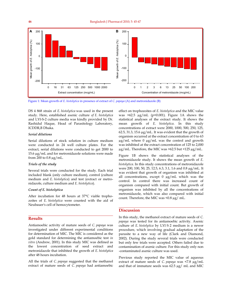

Figure 1: Mean growth of *E. histolytica* in presence of extract of *C. papaya* (A) and metronidazole (B)

DS 4 868 strain of *E. histolytica* was used in the present study. Here, established axenic culture *of E. histolytica* and LYI-S-2 culture media was kindly provided by Dr. Rashidul Haque, Head of Parasitology Laboratory, ICDDR,B Dhaka.

#### *Serial dilutions*

Serial dilutions of stock solution in culture medium were conducted in 24 well culture plates. For the extract, serial dilutions were conducted to get 2000 to 15.6 µg/mL and for metronidazole solutions were made from 200 to  $0.8 \mu g/mL$ .

#### *Trials of the study*

Several trials were conducted for the study. Each trial included blank (only culture medium), control (culture medium and *E. histolytica*) and test (extract or metronidazole, culture medium and *E. histolytica*).

#### *Count of E. histolytica*

After incubation for 48 hours at 37°C viable trophozoites of *E. histolytica* were counted with the aid of Neubauer's cell of hemocytometer.

# **Results**

Antiamoebic activity of mature seeds of *C. papaya* was investigated under different experimental conditions for determination of MIC. The MIC is considered as the gold standard for determining the antiamoebic test *in vitro* (Andrew, 2001). In this study MIC was defined as the lowest concentration of seed extract and metronidazole that inhibited the growth of *E. histolytica*  after 48 hours incubation.

All the trials of *C. papaya* suggested that the methanol extract of mature seeds of *C. papaya* had antiamoebic

effect on trophozoites of *E. histolytica* and the MIC value was >62.5 µg/mL (p<0.001). Figure 1A shows the statistical analyses of the extract study. It shows the mean growth of *E. histolytica*. In this study concentrations of extract were 2000, 1000, 500, 250, 125, 62.5, 31.3, 15.6 µg/mL. It was evident that the growth of organism occurred at the extract concentration of 0 to 63 µg/mL where 0 µg/mL was the control and growth was inhibited at the extract concentration of 125 to 2,000 µg/mL. Therefore, the MIC was >62.5 but <125 µg/mL.

Figure 1B shows the statistical analyses of the metronidazole study. It shows the mean growth of *E. histolytica*. In this study concentrations of metronidazole were 200, 100, 50, 25, 12.5, 6.3, 3.1, 1.6 and 0.8 µg/mL. It was evident that growth of organism was inhibited at all concentrations, except  $0 \mu g/mL$  which was the control. In control there was increased count of organism compared with initial count. But growth of organism was inhibited by all the concentrations of metronidazole, which was also compared with initial count. Therefore, the MIC was <0.8 µg/ mL.

## **Discussion**

In this study, the methanol extract of mature seeds of *C. papaya* was tested for its antiamoebic activity. Axenic culture of *E. histolytica* by LYI-S-2 medium is a newer procedure, which involving gradual adaptation of the parasite to a new way of life (Clark and Diamond, 2002). During the study several trials were conducted but only few trials were accepted. Others failed due to contamination of axenic culture. For this study only non -contaminated axenic culture was used.

Previous study reported the MIC value of aqueous extract of mature seeds of *C. papaya* was <7.8 µg/mL and that of immature seeds was 62.5 µg/ mL and MIC